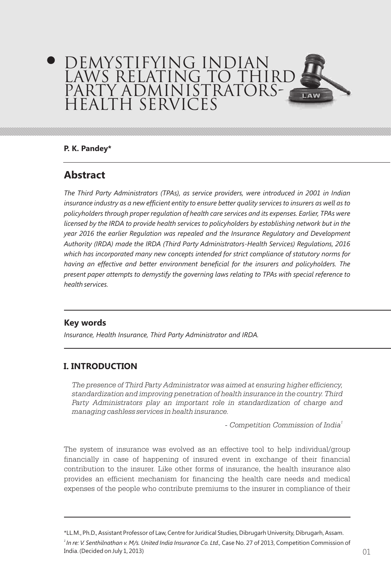# DEMYSTIFYING INDIAN LAWS RELATING TO THIRD PARTY ADMINISTRATORS-HEALTH SERVICES

### **P. K. Pandey\***

# **Abstract**

*The Third Party Administrators (TPAs), as service providers, were introduced in 2001 in Indian insurance industry as a new efficient entity to ensure better quality services to insurers as well as to policyholders through proper regulation of health care services and its expenses. Earlier, TPAs were licensed by the IRDA to provide health services to policyholders by establishing network but in the year 2016 the earlier Regulation was repealed and the Insurance Regulatory and Development Authority (IRDA) made the IRDA (Third Party Administrators-Health Services) Regulations, 2016 which has incorporated many new concepts intended for strict compliance of statutory norms for having an effective and better environment beneficial for the insurers and policyholders. The present paper attempts to demystify the governing laws relating to TPAs with special reference to health services.*

# **Key words**

*Insurance, Health Insurance, Third Party Administrator and IRDA.*

# **I. INTRODUCTION**

*The presence of Third Party Administrator was aimed at ensuring higher efficiency, standardization and improving penetration of health insurance in the country. Third*  Party Administrators play an important role in standardization of charge and *managing cashless services in health insurance.*

*1 - Competition Commission of India*

The system of insurance was evolved as an effective tool to help individual/group financially in case of happening of insured event in exchange of their financial contribution to the insurer. Like other forms of insurance, the health insurance also provides an efficient mechanism for financing the health care needs and medical expenses of the people who contribute premiums to the insurer in compliance of their

\*LL.M., Ph.D., Assistant Professor of Law, Centre for Juridical Studies, Dibrugarh University, Dibrugarh, Assam. *<sup>1</sup>In re: V. Senthilnathan v. M/s. United India Insurance Co. Ltd.,* Case No. 27 of 2013, Competition Commission of India. (Decided on July 1, 2013)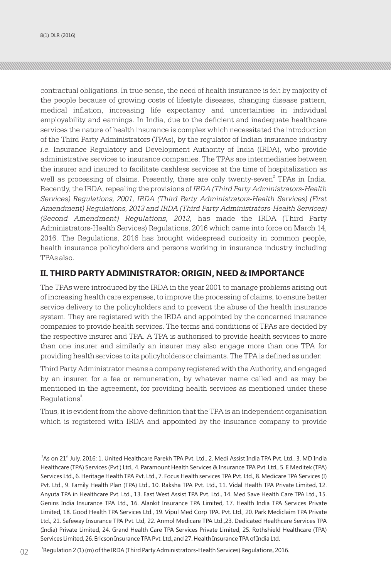contractual obligations. In true sense, the need of health insurance is felt by majority of the people because of growing costs of lifestyle diseases, changing disease pattern, medical inflation, increasing life expectancy and uncertainties in individual employability and earnings. In India, due to the deficient and inadequate healthcare services the nature of health insurance is complex which necessitated the introduction of the Third Party Administrators (TPAs), by the regulator of Indian insurance industry *i.e.* Insurance Regulatory and Development Authority of India (IRDA), who provide administrative services to insurance companies. The TPAs are intermediaries between the insurer and insured to facilitate cashless services at the time of hospitalization as well as processing of claims. Presently, there are only twenty-seven<sup>2</sup> TPAs in India. Recently, the IRDA, repealing the provisions of *IRDA (Third Party Administrators-Health Services) Regulations, 2001, IRDA (Third Party Administrators-Health Services) (First Amendment) Regulations, 2013 and IRDA (Third Party Administrators-Health Services) (Second Amendment) Regulations, 2013,* has made the IRDA (Third Party Administrators-Health Services) Regulations, 2016 which came into force on March 14, 2016. The Regulations, 2016 has brought widespread curiosity in common people, health insurance policyholders and persons working in insurance industry including TPAs also.

### **II. THIRD PARTY ADMINISTRATOR: ORIGIN, NEED & IMPORTANCE**

The TPAs were introduced by the IRDA in the year 2001 to manage problems arising out of increasing health care expenses, to improve the processing of claims, to ensure better service delivery to the policyholders and to prevent the abuse of the health insurance system. They are registered with the IRDA and appointed by the concerned insurance companies to provide health services. The terms and conditions of TPAs are decided by the respective insurer and TPA. A TPA is authorised to provide health services to more than one insurer and similarly an insurer may also engage more than one TPA for providing health services to its policyholders or claimants. The TPA is defined as under:

Third Party Administrator means a company registered with the Authority, and engaged by an insurer, for a fee or remuneration, by whatever name called and as may be mentioned in the agreement, for providing health services as mentioned under these Regulations<sup>3</sup>.

Thus, it is evident from the above definition that the TPA is an independent organisation which is registered with IRDA and appointed by the insurance company to provide

<sup>&</sup>lt;sup>2</sup> As on 21<sup>st</sup> July, 2016: 1. United Healthcare Parekh TPA Pvt. Ltd., 2. Medi Assist India TPA Pvt. Ltd., 3. MD India Healthcare (TPA) Services (Pvt.) Ltd., 4. Paramount Health Services & Insurance TPA Pvt. Ltd., 5. E Meditek (TPA) Services Ltd., 6. Heritage Health TPA Pvt. Ltd., 7. Focus Health services TPA Pvt. Ltd., 8. Medicare TPA Services (I) Pvt. Ltd., 9. Family Health Plan (TPA) Ltd., 10. Raksha TPA Pvt. Ltd., 11. Vidal Health TPA Private Limited, 12. Anyuta TPA in Healthcare Pvt. Ltd., 13. East West Assist TPA Pvt. Ltd., 14. Med Save Health Care TPA Ltd., 15. Genins India Insurance TPA Ltd., 16. Alankit Insurance TPA Limited, 17. Health India TPA Services Private Limited, 18. Good Health TPA Services Ltd., 19. Vipul Med Corp TPA. Pvt. Ltd., 20. Park Mediclaim TPA Private Ltd., 21. Safeway Insurance TPA Pvt. Ltd, 22. Anmol Medicare TPA Ltd.,23. Dedicated Healthcare Services TPA (India) Private Limited, 24. Grand Health Care TPA Services Private Limited, 25. Rothshield Healthcare (TPA) Services Limited, 26. Ericson Insurance TPA Pvt. Ltd.,and 27. Health Insurance TPA of India Ltd.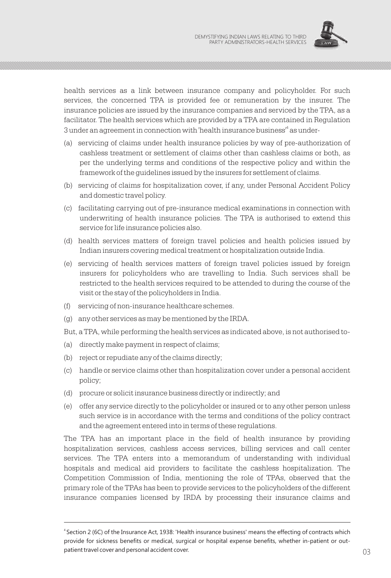

health services as a link between insurance company and policyholder. For such services, the concerned TPA is provided fee or remuneration by the insurer. The insurance policies are issued by the insurance companies and serviced by the TPA, as a facilitator. The health services which are provided by a TPA are contained in Regulation 3 under an agreement in connection with 'health insurance business'<sup>4</sup> as under-

- (a) servicing of claims under health insurance policies by way of pre-authorization of cashless treatment or settlement of claims other than cashless claims or both, as per the underlying terms and conditions of the respective policy and within the framework of the guidelines issued by the insurers for settlement of claims.
- (b) servicing of claims for hospitalization cover, if any, under Personal Accident Policy and domestic travel policy.
- (c) facilitating carrying out of pre-insurance medical examinations in connection with underwriting of health insurance policies. The TPA is authorised to extend this service for life insurance policies also.
- (d) health services matters of foreign travel policies and health policies issued by Indian insurers covering medical treatment or hospitalization outside India.
- (e) servicing of health services matters of foreign travel policies issued by foreign insurers for policyholders who are travelling to India. Such services shall be restricted to the health services required to be attended to during the course of the visit or the stay of the policyholders in India.
- (f) servicing of non-insurance healthcare schemes.
- (g) any other services as may be mentioned by the IRDA.
- But, a TPA, while performing the health services as indicated above, is not authorised to-
- (a) directly make payment in respect of claims;
- (b) reject or repudiate any of the claims directly;
- (c) handle or service claims other than hospitalization cover under a personal accident policy;
- (d) procure or solicit insurance business directly or indirectly; and
- (e) offer any service directly to the policyholder or insured or to any other person unless such service is in accordance with the terms and conditions of the policy contract and the agreement entered into in terms of these regulations.

The TPA has an important place in the field of health insurance by providing hospitalization services, cashless access services, billing services and call center services. The TPA enters into a memorandum of understanding with individual hospitals and medical aid providers to facilitate the cashless hospitalization. The Competition Commission of India, mentioning the role of TPAs, observed that the primary role of the TPAs has been to provide services to the policyholders of the different insurance companies licensed by IRDA by processing their insurance claims and

patient travel cover and personal accident cover. The contract of the contract of  $03$ <sup>4</sup> Section 2 (6C) of the Insurance Act, 1938: 'Health insurance business' means the effecting of contracts which provide for sickness benefits or medical, surgical or hospital expense benefits, whether in-patient or outpatient travel cover and personal accident cover.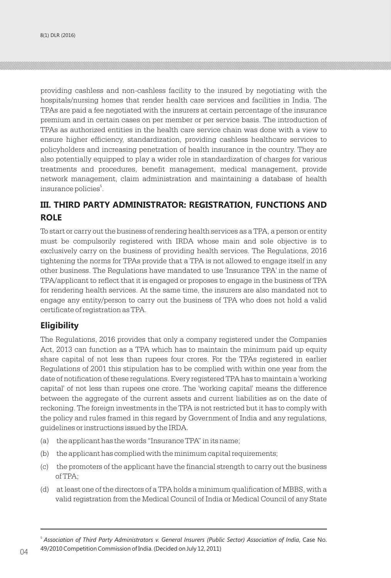providing cashless and non-cashless facility to the insured by negotiating with the hospitals/nursing homes that render health care services and facilities in India. The TPAs are paid a fee negotiated with the insurers at certain percentage of the insurance premium and in certain cases on per member or per service basis. The introduction of TPAs as authorized entities in the health care service chain was done with a view to ensure higher efficiency, standardization, providing cashless healthcare services to policyholders and increasing penetration of health insurance in the country. They are also potentially equipped to play a wider role in standardization of charges for various treatments and procedures, benefit management, medical management, provide network management, claim administration and maintaining a database of health insurance policies<sup>5</sup>.

# **III. THIRD PARTY ADMINISTRATOR: REGISTRATION, FUNCTIONS AND ROLE**

To start or carry out the business of rendering health services as a TPA, a person or entity must be compulsorily registered with IRDA whose main and sole objective is to exclusively carry on the business of providing health services. The Regulations, 2016 tightening the norms for TPAs provide that a TPA is not allowed to engage itself in any other business. The Regulations have mandated to use 'Insurance TPA' in the name of TPA/applicant to reflect that it is engaged or proposes to engage in the business of TPA for rendering health services. At the same time, the insurers are also mandated not to engage any entity/person to carry out the business of TPA who does not hold a valid certificate of registration as TPA.

# **Eligibility**

The Regulations, 2016 provides that only a company registered under the Companies Act, 2013 can function as a TPA which has to maintain the minimum paid up equity share capital of not less than rupees four crores. For the TPAs registered in earlier Regulations of 2001 this stipulation has to be complied with within one year from the date of notification of these regulations. Every registered TPA has to maintain a 'working capital' of not less than rupees one crore. The 'working capital' means the difference between the aggregate of the current assets and current liabilities as on the date of reckoning. The foreign investments in the TPA is not restricted but it has to comply with the policy and rules framed in this regard by Government of India and any regulations, guidelines or instructions issued by the IRDA.

- (a) the applicant has the words "Insurance TPA" in its name;
- (b) the applicant has complied with the minimum capital requirements;
- (c) the promoters of the applicant have the financial strength to carry out the business of TPA;
- (d) at least one of the directors of a TPA holds a minimum qualification of MBBS, with a valid registration from the Medical Council of India or Medical Council of any State

 $04$   $49$ /2010 Competition Commission of India. (Decided on July 12, 2011) <sup>5</sup>*Association of Third Party Administrators v. General Insurers (Public Sector) Association of India*, Case No. 49/2010 Competition Commission of India. (Decided on July 12, 2011)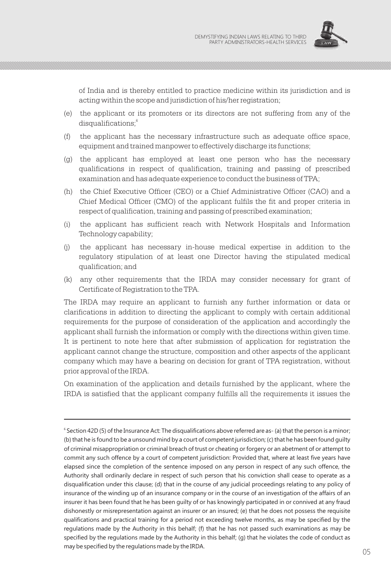

of India and is thereby entitled to practice medicine within its jurisdiction and is acting within the scope and jurisdiction of his/her registration;

- (e) the applicant or its promoters or its directors are not suffering from any of the 6 disqualifications;
- (f) the applicant has the necessary infrastructure such as adequate office space, equipment and trained manpower to effectively discharge its functions;
- (g) the applicant has employed at least one person who has the necessary qualifications in respect of qualification, training and passing of prescribed examination and has adequate experience to conduct the business of TPA;
- (h) the Chief Executive Officer (CEO) or a Chief Administrative Officer (CAO) and a Chief Medical Officer (CMO) of the applicant fulfils the fit and proper criteria in respect of qualification, training and passing of prescribed examination;
- (i) the applicant has sufficient reach with Network Hospitals and Information Technology capability;
- (j) the applicant has necessary in-house medical expertise in addition to the regulatory stipulation of at least one Director having the stipulated medical qualification; and
- (k) any other requirements that the IRDA may consider necessary for grant of Certificate of Registration to the TPA.

The IRDA may require an applicant to furnish any further information or data or clarifications in addition to directing the applicant to comply with certain additional requirements for the purpose of consideration of the application and accordingly the applicant shall furnish the information or comply with the directions within given time. It is pertinent to note here that after submission of application for registration the applicant cannot change the structure, composition and other aspects of the applicant company which may have a bearing on decision for grant of TPA registration, without prior approval of the IRDA.

On examination of the application and details furnished by the applicant, where the IRDA is satisfied that the applicant company fulfills all the requirements it issues the

 $\frac{1}{2}$  0.5  $\frac{1}{2}$  0.6  $\frac{1}{2}$  0.6  $\frac{1}{2}$  0.6  $\frac{1}{2}$  0.6  $\frac{1}{2}$  0.6  $\frac{1}{2}$  0.6  $\frac{1}{2}$  0.6  $\frac{1}{2}$  0.6  $\frac{1}{2}$  0.6  $\frac{1}{2}$  0.6  $\frac{1}{2}$  0.6  $\frac{1}{2}$  0.6  $\frac{1}{2}$  0.6  $\frac{1}{2}$  0.6  $\frac{1}{2}$  0 6 Section 42D (5) of the Insurance Act: The disqualifications above referred are as- (a) that the person is a minor; (b) that he is found to be a unsound mind by a court of competent jurisdiction; (c) that he has been found guilty of criminal misappropriation or criminal breach of trust or cheating or forgery or an abetment of or attempt to commit any such offence by a court of competent jurisdiction: Provided that, where at least five years have elapsed since the completion of the sentence imposed on any person in respect of any such offence, the Authority shall ordinarily declare in respect of such person that his conviction shall cease to operate as a disqualification under this clause; (d) that in the course of any judicial proceedings relating to any policy of insurance of the winding up of an insurance company or in the course of an investigation of the affairs of an insurer it has been found that he has been guilty of or has knowingly participated in or connived at any fraud dishonestly or misrepresentation against an insurer or an insured; (e) that he does not possess the requisite qualifications and practical training for a period not exceeding twelve months, as may be specified by the regulations made by the Authority in this behalf; (f) that he has not passed such examinations as may be specified by the regulations made by the Authority in this behalf; (g) that he violates the code of conduct as may be specified by the regulations made by the IRDA.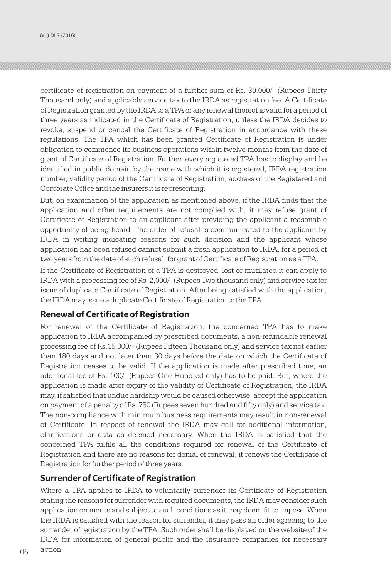certificate of registration on payment of a further sum of Rs. 30,000/- (Rupees Thirty Thousand only) and applicable service tax to the IRDA as registration fee. A Certificate of Registration granted by the IRDA to a TPA or any renewal thereof is valid for a period of three years as indicated in the Certificate of Registration, unless the IRDA decides to revoke, suspend or cancel the Certificate of Registration in accordance with these regulations. The TPA which has been granted Certificate of Registration is under obligation to commence its business operations within twelve months from the date of grant of Certificate of Registration. Further, every registered TPA has to display and be identified in public domain by the name with which it is registered, IRDA registration number, validity period of the Certificate of Registration, address of the Registered and Corporate Office and the insurers it is representing.

But, on examination of the application as mentioned above, if the IRDA finds that the application and other requirements are not complied with, it may refuse grant of Certificate of Registration to an applicant after providing the applicant a reasonable opportunity of being heard. The order of refusal is communicated to the applicant by IRDA in writing indicating reasons for such decision and the applicant whose application has been refused cannot submit a fresh application to IRDA, for a period of two years from the date of such refusal, for grant of Certificate of Registration as a TPA.

If the Certificate of Registration of a TPA is destroyed, lost or mutilated it can apply to IRDA with a processing fee of Rs. 2,000/- (Rupees Two thousand only) and service tax for issue of duplicate Certificate of Registration. After being satisfied with the application, the IRDA may issue a duplicate Certificate of Registration to the TPA.

#### **Renewal of Certificate of Registration**

For renewal of the Certificate of Registration, the concerned TPA has to make application to IRDA accompanied by prescribed documents, a non-refundable renewal processing fee of Rs.15,000/- (Rupees Fifteen Thousand only) and service tax not earlier than 180 days and not later than 30 days before the date on which the Certificate of Registration ceases to be valid. If the application is made after prescribed time, an additional fee of Rs. 100/- (Rupees One Hundred only) has to be paid. But, where the application is made after expiry of the validity of Certificate of Registration, the IRDA may, if satisfied that undue hardship would be caused otherwise, accept the application on payment of a penalty of Rs. 750 (Rupees seven hundred and fifty only) and service tax. The non-compliance with minimum business requirements may result in non-renewal of Certificate. In respect of renewal the IRDA may call for additional information, clarifications or data as deemed necessary. When the IRDA is satisfied that the concerned TPA fulfils all the conditions required for renewal of the Certificate of Registration and there are no reasons for denial of renewal, it renews the Certificate of Registration for further period of three years.

#### **Surrender of Certificate of Registration**

 $06$  action. Where a TPA applies to IRDA to voluntarily surrender its Certificate of Registration stating the reasons for surrender with required documents, the IRDA may consider such application on merits and subject to such conditions as it may deem fit to impose. When the IRDA is satisfied with the reason for surrender, it may pass an order agreeing to the surrender of registration by the TPA. Such order shall be displayed on the website of the IRDA for information of general public and the insurance companies for necessary action.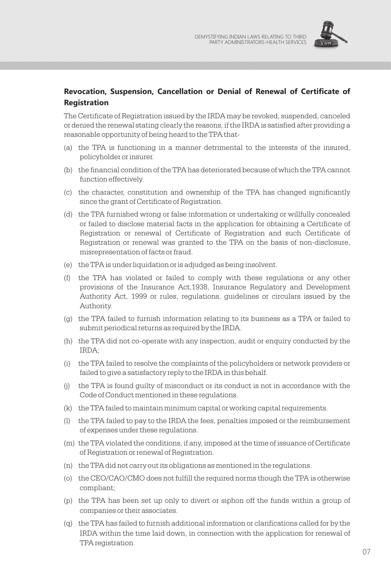

# **Revocation, Suspension, Cancellation or Denial of Renewal of Certificate of Registration**

The Certificate of Registration issued by the IRDA may be revoked, suspended, canceled or denied the renewal stating clearly the reasons, if the IRDA is satisfied after providing a reasonable opportunity of being heard to the TPA that-

- (a) the TPA is functioning in a manner detrimental to the interests of the insured, policyholder or insurer.
- (b) the financial condition of the TPA has deteriorated because of which the TPA cannot function effectively.
- (c) the character, constitution and ownership of the TPA has changed significantly since the grant of Certificate of Registration.
- (d) the TPA furnished wrong or false information or undertaking or willfully concealed or failed to disclose material facts in the application for obtaining a Certificate of Registration or renewal of Certificate of Registration and such Certificate of Registration or renewal was granted to the TPA on the basis of non-disclosure, misrepresentation of facts or fraud.
- (e) the TPA is under liquidation or is adjudged as being insolvent.
- (f) the TPA has violated or failed to comply with these regulations or any other provisions of the Insurance Act,1938, Insurance Regulatory and Development Authority Act, 1999 or rules, regulations, guidelines or circulars issued by the Authority.
- (g) the TPA failed to furnish information relating to its business as a TPA or failed to submit periodical returns as required by the IRDA.
- (h) the TPA did not co-operate with any inspection, audit or enquiry conducted by the IRDA;
- (i) the TPA failed to resolve the complaints of the policyholders or network providers or failed to give a satisfactory reply to the IRDA in this behalf.
- (j) the TPA is found guilty of misconduct or its conduct is not in accordance with the Code of Conduct mentioned in these regulations.
- (k) the TPA failed to maintain minimum capital or working capital requirements.
- (l) the TPA failed to pay to the IRDA the fees, penalties imposed or the reimbursement of expenses under these regulations.
- (m) the TPA violated the conditions, if any, imposed at the time of issuance of Certificate of Registration or renewal of Registration.
- (n) the TPA did not carry out its obligations as mentioned in the regulations.
- (o) the CEO/CAO/CMO does not fulfill the required norms though the TPA is otherwise compliant;
- (p) the TPA has been set up only to divert or siphon off the funds within a group of companies or their associates.
- (q) the TPA has failed to furnish additional information or clarifications called for by the IRDA within the time laid down, in connection with the application for renewal of TPA registration.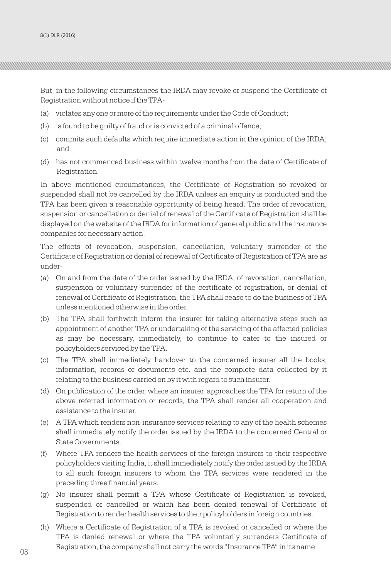But, in the following circumstances the IRDA may revoke or suspend the Certificate of Registration without notice if the TPA-

- (a) violates any one or more of the requirements under the Code of Conduct;
- (b) is found to be guilty of fraud or is convicted of a criminal offence;
- (c) commits such defaults which require immediate action in the opinion of the IRDA; and
- (d) has not commenced business within twelve months from the date of Certificate of Registration.

In above mentioned circumstances, the Certificate of Registration so revoked or suspended shall not be cancelled by the IRDA unless an enquiry is conducted and the TPA has been given a reasonable opportunity of being heard. The order of revocation, suspension or cancellation or denial of renewal of the Certificate of Registration shall be displayed on the website of the IRDA for information of general public and the insurance companies for necessary action.

The effects of revocation, suspension, cancellation, voluntary surrender of the Certificate of Registration or denial of renewal of Certificate of Registration of TPA are as under-

- (a) On and from the date of the order issued by the IRDA, of revocation, cancellation, suspension or voluntary surrender of the certificate of registration, or denial of renewal of Certificate of Registration, the TPA shall cease to do the business of TPA unless mentioned otherwise in the order.
- (b) The TPA shall forthwith inform the insurer for taking alternative steps such as appointment of another TPA or undertaking of the servicing of the affected policies as may be necessary, immediately, to continue to cater to the insured or policyholders serviced by the TPA.
- (c) The TPA shall immediately handover to the concerned insurer all the books, information, records or documents etc. and the complete data collected by it relating to the business carried on by it with regard to such insurer.
- (d) On publication of the order, where an insurer, approaches the TPA for return of the above referred information or records, the TPA shall render all cooperation and assistance to the insurer.
- (e) A TPA which renders non-insurance services relating to any of the health schemes shall immediately notify the order issued by the IRDA to the concerned Central or State Governments.
- (f) Where TPA renders the health services of the foreign insurers to their respective policyholders visiting India, it shall immediately notify the order issued by the IRDA to all such foreign insurers to whom the TPA services were rendered in the preceding three financial years.
- (g) No insurer shall permit a TPA whose Certificate of Registration is revoked, suspended or cancelled or which has been denied renewal of Certificate of Registration to render health services to their policyholders in foreign countries.
- 08 regionalist, and company onen holderly are words modeling for a motor health (h) Where a Certificate of Registration of a TPA is revoked or cancelled or where the TPA is denied renewal or where the TPA voluntarily surrenders Certificate of Registration, the company shall not carry the words "Insurance TPA" in its name.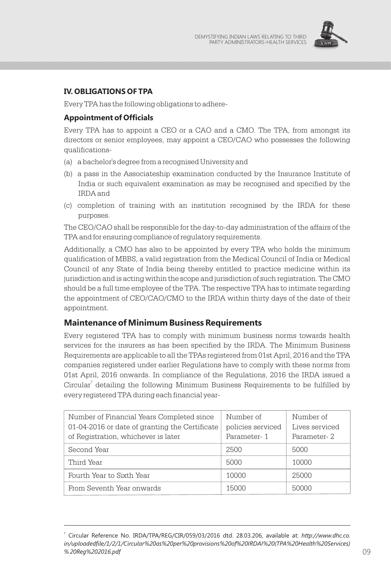

### **IV. OBLIGATIONS OF TPA**

Every TPA has the following obligations to adhere-

#### **Appointment of Officials**

Every TPA has to appoint a CEO or a CAO and a CMO. The TPA, from amongst its directors or senior employees, may appoint a CEO/CAO who possesses the following qualifications-

- (a) a bachelor's degree from a recognised University and
- (b) a pass in the Associateship examination conducted by the Insurance Institute of India or such equivalent examination as may be recognised and specified by the IRDA and
- (c) completion of training with an institution recognised by the IRDA for these purposes.

The CEO/CAO shall be responsible for the day-to-day administration of the affairs of the TPA and for ensuring compliance of regulatory requirements.

Additionally, a CMO has also to be appointed by every TPA who holds the minimum qualification of MBBS, a valid registration from the Medical Council of India or Medical Council of any State of India being thereby entitled to practice medicine within its jurisdiction and is acting within the scope and jurisdiction of such registration. The CMO should be a full time employee of the TPA. The respective TPA has to intimate regarding the appointment of CEO/CAO/CMO to the IRDA within thirty days of the date of their appointment.

#### **Maintenance of Minimum Business Requirements**

Every registered TPA has to comply with minimum business norms towards health services for the insurers as has been specified by the IRDA. The Minimum Business Requirements are applicable to all the TPAs registered from 01st April, 2016 and the TPA companies registered under earlier Regulations have to comply with these norms from 01st April, 2016 onwards. In compliance of the Regulations, 2016 the IRDA issued a Circular $^7$  detailing the following Minimum Business Requirements to be fulfilled by every registered TPA during each financial year-

| Number of Financial Years Completed since<br>01-04-2016 or date of granting the Certificate<br>of Registration, whichever is later | Number of<br>policies serviced<br>Parameter-1 | Number of<br>Lives serviced<br>Parameter-2 |
|------------------------------------------------------------------------------------------------------------------------------------|-----------------------------------------------|--------------------------------------------|
| Second Year                                                                                                                        | 2500                                          | 5000                                       |
| Third Year                                                                                                                         | 5000                                          | 10000                                      |
| Fourth Year to Sixth Year                                                                                                          | 10000                                         | 25000                                      |
| From Seventh Year onwards                                                                                                          | 15000                                         | 50000                                      |

 $% 20Reg$ %202016.pdf  $09$ Circular Reference No. IRDA/TPA/REG/CIR/059/03/2016 dtd. 28.03.206, available at: *http://www.dhc.co. in/uploadedfile/1/2/1/Circular%20as%20per%20provisions%20of%20IRDAI%20(TPA%20Health%20Services) % 20Reg%202016.pdf*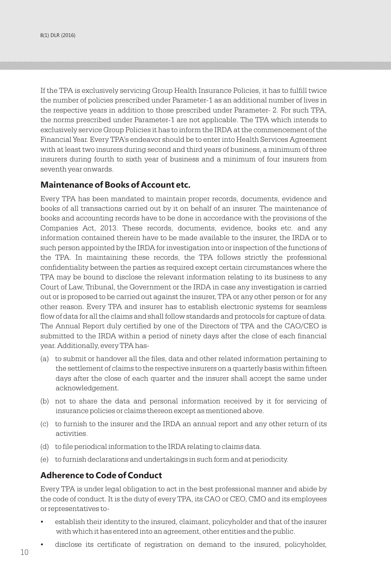If the TPA is exclusively servicing Group Health Insurance Policies, it has to fulfill twice the number of policies prescribed under Parameter-1 as an additional number of lives in the respective years in addition to those prescribed under Parameter- 2. For such TPA, the norms prescribed under Parameter-1 are not applicable. The TPA which intends to exclusively service Group Policies it has to inform the IRDA at the commencement of the Financial Year. Every TPA's endeavor should be to enter into Health Services Agreement with at least two insurers during second and third years of business, a minimum of three insurers during fourth to sixth year of business and a minimum of four insurers from seventh year onwards.

#### **Maintenance of Books of Account etc.**

Every TPA has been mandated to maintain proper records, documents, evidence and books of all transactions carried out by it on behalf of an insurer. The maintenance of books and accounting records have to be done in accordance with the provisions of the Companies Act, 2013. These records, documents, evidence, books etc. and any information contained therein have to be made available to the insurer, the IRDA or to such person appointed by the IRDA for investigation into or inspection of the functions of the TPA. In maintaining these records, the TPA follows strictly the professional confidentiality between the parties as required except certain circumstances where the TPA may be bound to disclose the relevant information relating to its business to any Court of Law, Tribunal, the Government or the IRDA in case any investigation is carried out or is proposed to be carried out against the insurer, TPA or any other person or for any other reason. Every TPA and insurer has to establish electronic systems for seamless flow of data for all the claims and shall follow standards and protocols for capture of data. The Annual Report duly certified by one of the Directors of TPA and the CAO/CEO is submitted to the IRDA within a period of ninety days after the close of each financial year. Additionally, every TPA has-

- (a) to submit or handover all the files, data and other related information pertaining to the settlement of claims to the respective insurers on a quarterly basis within fifteen days after the close of each quarter and the insurer shall accept the same under acknowledgement.
- (b) not to share the data and personal information received by it for servicing of insurance policies or claims thereon except as mentioned above.
- (c) to furnish to the insurer and the IRDA an annual report and any other return of its activities.
- (d) to file periodical information to the IRDA relating to claims data.
- (e) to furnish declarations and undertakings in such form and at periodicity.

#### **Adherence to Code of Conduct**

Every TPA is under legal obligation to act in the best professional manner and abide by the code of conduct. It is the duty of every TPA, its CAO or CEO, CMO and its employees or representatives to-

- establish their identity to the insured, claimant, policyholder and that of the insurer with which it has entered into an agreement, other entities and the public.
- disclose its certificate of registration on demand to the insured, policyholder,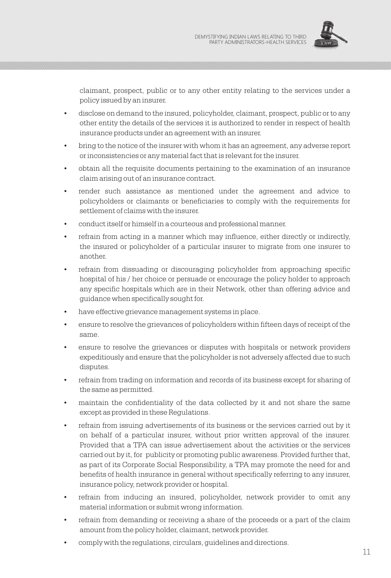

claimant, prospect, public or to any other entity relating to the services under a policy issued by an insurer.

- disclose on demand to the insured, policyholder, claimant, prospect, public or to any other entity the details of the services it is authorized to render in respect of health insurance products under an agreement with an insurer.
- bring to the notice of the insurer with whom it has an agreement, any adverse report or inconsistencies or any material fact that is relevant for the insurer.
- obtain all the requisite documents pertaining to the examination of an insurance claim arising out of an insurance contract.
- render such assistance as mentioned under the agreement and advice to policyholders or claimants or beneficiaries to comply with the requirements for settlement of claims with the insurer.
- conduct itself or himself in a courteous and professional manner.
- refrain from acting in a manner which may influence, either directly or indirectly, the insured or policyholder of a particular insurer to migrate from one insurer to another.
- refrain from dissuading or discouraging policyholder from approaching specific hospital of his / her choice or persuade or encourage the policy holder to approach any specific hospitals which are in their Network, other than offering advice and guidance when specifically sought for.
- have effective grievance management systems in place.
- ensure to resolve the grievances of policyholders within fifteen days of receipt of the same.
- ensure to resolve the grievances or disputes with hospitals or network providers expeditiously and ensure that the policyholder is not adversely affected due to such disputes.
- refrain from trading on information and records of its business except for sharing of the same as permitted.
- maintain the confidentiality of the data collected by it and not share the same except as provided in these Regulations.
- refrain from issuing advertisements of its business or the services carried out by it on behalf of a particular insurer, without prior written approval of the insurer. Provided that a TPA can issue advertisement about the activities or the services carried out by it, for publicity or promoting public awareness. Provided further that, as part of its Corporate Social Responsibility, a TPA may promote the need for and benefits of health insurance in general without specifically referring to any insurer, insurance policy, network provider or hospital.
- refrain from inducing an insured, policyholder, network provider to omit any material information or submit wrong information.
- refrain from demanding or receiving a share of the proceeds or a part of the claim amount from the policy holder, claimant, network provider.
- comply with the regulations, circulars, guidelines and directions.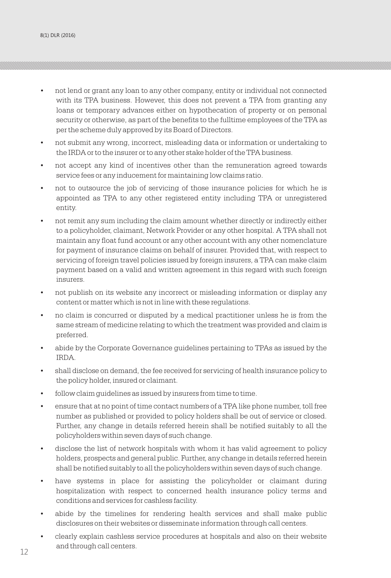- not lend or grant any loan to any other company, entity or individual not connected with its TPA business. However, this does not prevent a TPA from granting any loans or temporary advances either on hypothecation of property or on personal security or otherwise, as part of the benefits to the fulltime employees of the TPA as per the scheme duly approved by its Board of Directors.
- not submit any wrong, incorrect, misleading data or information or undertaking to the IRDA or to the insurer or to any other stake holder of the TPA business.
- not accept any kind of incentives other than the remuneration agreed towards service fees or any inducement for maintaining low claims ratio.
- not to outsource the job of servicing of those insurance policies for which he is appointed as TPA to any other registered entity including TPA or unregistered entity.
- not remit any sum including the claim amount whether directly or indirectly either to a policyholder, claimant, Network Provider or any other hospital. A TPA shall not maintain any float fund account or any other account with any other nomenclature for payment of insurance claims on behalf of insurer. Provided that, with respect to servicing of foreign travel policies issued by foreign insurers, a TPA can make claim payment based on a valid and written agreement in this regard with such foreign insurers.
- not publish on its website any incorrect or misleading information or display any content or matter which is not in line with these regulations.
- no claim is concurred or disputed by a medical practitioner unless he is from the same stream of medicine relating to which the treatment was provided and claim is preferred.
- abide by the Corporate Governance guidelines pertaining to TPAs as issued by the IRDA.
- shall disclose on demand, the fee received for servicing of health insurance policy to the policy holder, insured or claimant.
- follow claim guidelines as issued by insurers from time to time.
- ensure that at no point of time contact numbers of a TPA like phone number, toll free number as published or provided to policy holders shall be out of service or closed. Further, any change in details referred herein shall be notified suitably to all the policyholders within seven days of such change.
- disclose the list of network hospitals with whom it has valid agreement to policy holders, prospects and general public. Further, any change in details referred herein shall be notified suitably to all the policyholders within seven days of such change.
- have systems in place for assisting the policyholder or claimant during hospitalization with respect to concerned health insurance policy terms and conditions and services for cashless facility.
- abide by the timelines for rendering health services and shall make public disclosures on their websites or disseminate information through call centers.
- clearly explain cashless service procedures at hospitals and also on their website and through call centers.  $12$  and the expectation of  $\frac{1}{2}$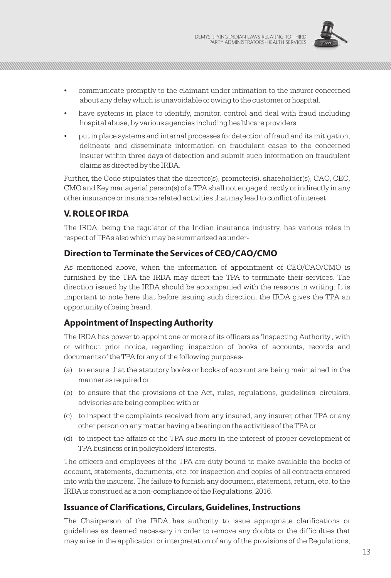

- communicate promptly to the claimant under intimation to the insurer concerned about any delay which is unavoidable or owing to the customer or hospital.
- have systems in place to identify, monitor, control and deal with fraud including hospital abuse, by various agencies including healthcare providers.
- put in place systems and internal processes for detection of fraud and its mitigation, delineate and disseminate information on fraudulent cases to the concerned insurer within three days of detection and submit such information on fraudulent claims as directed by the IRDA.

Further, the Code stipulates that the director(s), promoter(s), shareholder(s), CAO, CEO, CMO and Key managerial person(s) of a TPA shall not engage directly or indirectly in any other insurance or insurance related activities that may lead to conflict of interest.

# **V. ROLE OF IRDA**

The IRDA, being the regulator of the Indian insurance industry, has various roles in respect of TPAs also which may be summarized as under-

# **Direction to Terminate the Services of CEO/CAO/CMO**

As mentioned above, when the information of appointment of CEO/CAO/CMO is furnished by the TPA the IRDA may direct the TPA to terminate their services. The direction issued by the IRDA should be accompanied with the reasons in writing. It is important to note here that before issuing such direction, the IRDA gives the TPA an opportunity of being heard.

# **Appointment of Inspecting Authority**

The IRDA has power to appoint one or more of its officers as 'Inspecting Authority', with or without prior notice, regarding inspection of books of accounts, records and documents of the TPA for any of the following purposes-

- (a) to ensure that the statutory books or books of account are being maintained in the manner as required or
- (b) to ensure that the provisions of the Act, rules, regulations, guidelines, circulars, advisories are being complied with or
- (c) to inspect the complaints received from any insured, any insurer, other TPA or any other person on any matter having a bearing on the activities of the TPA or
- (d) to inspect the affairs of the TPA *suo motu* in the interest of proper development of TPA business or in policyholders' interests.

The officers and employees of the TPA are duty bound to make available the books of account, statements, documents, etc. for inspection and copies of all contracts entered into with the insurers. The failure to furnish any document, statement, return, etc. to the IRDA is construed as a non-compliance of the Regulations, 2016.

# **Issuance of Clarifications, Circulars, Guidelines, Instructions**

The Chairperson of the IRDA has authority to issue appropriate clarifications or guidelines as deemed necessary in order to remove any doubts or the difficulties that may arise in the application or interpretation of any of the provisions of the Regulations,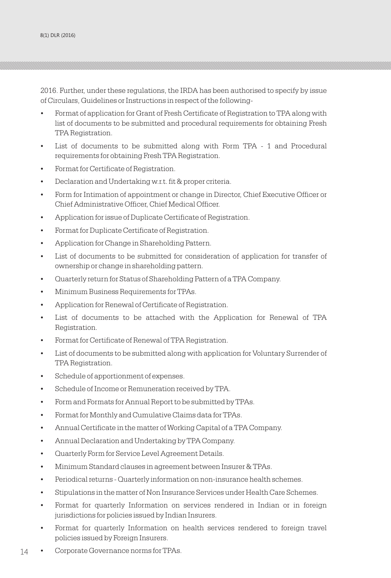2016. Further, under these regulations, the IRDA has been authorised to specify by issue of Circulars, Guidelines or Instructions in respect of the following-

- Format of application for Grant of Fresh Certificate of Registration to TPA along with list of documents to be submitted and procedural requirements for obtaining Fresh TPA Registration.
- List of documents to be submitted along with Form TPA 1 and Procedural requirements for obtaining Fresh TPA Registration.
- Format for Certificate of Registration.
- Declaration and Undertaking w.r.t. fit & proper criteria.
- Form for Intimation of appointment or change in Director, Chief Executive Officer or Chief Administrative Officer, Chief Medical Officer.
- Application for issue of Duplicate Certificate of Registration.
- Format for Duplicate Certificate of Registration.
- Application for Change in Shareholding Pattern.
- List of documents to be submitted for consideration of application for transfer of ownership or change in shareholding pattern.
- Quarterly return for Status of Shareholding Pattern of a TPA Company.
- Minimum Business Requirements for TPAs.
- Application for Renewal of Certificate of Registration.
- List of documents to be attached with the Application for Renewal of TPA Registration.
- Format for Certificate of Renewal of TPA Registration.
- List of documents to be submitted along with application for Voluntary Surrender of TPA Registration.
- Schedule of apportionment of expenses.
- Schedule of Income or Remuneration received by TPA.
- Form and Formats for Annual Report to be submitted by TPAs.
- Format for Monthly and Cumulative Claims data for TPAs.
- Annual Certificate in the matter of Working Capital of a TPA Company.
- Annual Declaration and Undertaking by TPA Company.
- Quarterly Form for Service Level Agreement Details.
- Minimum Standard clauses in agreement between Insurer & TPAs.
- Periodical returns Quarterly information on non-insurance health schemes.
- Stipulations in the matter of Non Insurance Services under Health Care Schemes.
- Format for quarterly Information on services rendered in Indian or in foreign jurisdictions for policies issued by Indian Insurers.
- Format for quarterly Information on health services rendered to foreign travel policies issued by Foreign Insurers.
- 14 **•** Corporate Governance norms for TPAs.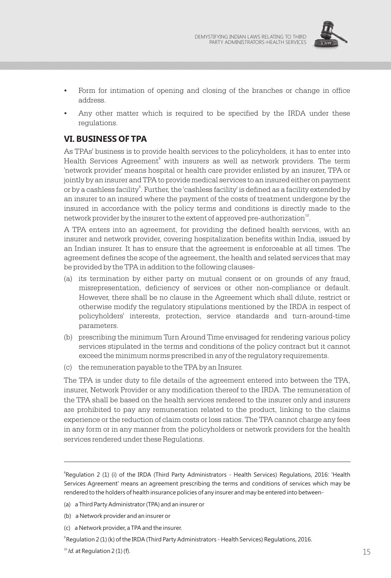

- Form for intimation of opening and closing of the branches or change in office address.
- Any other matter which is required to be specified by the IRDA under these regulations.

# **VI. BUSINESS OF TPA**

As TPAs' business is to provide health services to the policyholders, it has to enter into Health Services Agreement<sup>8</sup> with insurers as well as network providers. The term 'network provider' means hospital or health care provider enlisted by an insurer, TPA or jointly by an insurer and TPA to provide medical services to an insured either on payment or by a cashless facility $^{\circ}$ . Further, the 'cashless facility' is defined as a facility extended by an insurer to an insured where the payment of the costs of treatment undergone by the insured in accordance with the policy terms and conditions is directly made to the network provider by the insurer to the extent of approved pre-authorization<sup>10</sup>.

A TPA enters into an agreement, for providing the defined health services, with an insurer and network provider, covering hospitalization benefits within India, issued by an Indian insurer. It has to ensure that the agreement is enforceable at all times. The agreement defines the scope of the agreement, the health and related services that may be provided by the TPA in addition to the following clauses-

- (a) its termination by either party on mutual consent or on grounds of any fraud, misrepresentation, deficiency of services or other non-compliance or default. However, there shall be no clause in the Agreement which shall dilute, restrict or otherwise modify the regulatory stipulations mentioned by the IRDA in respect of policyholders' interests, protection, service standards and turn-around-time parameters.
- (b) prescribing the minimum Turn Around Time envisaged for rendering various policy services stipulated in the terms and conditions of the policy contract but it cannot exceed the minimum norms prescribed in any of the regulatory requirements.
- (c) the remuneration payable to the TPA by an Insurer.

The TPA is under duty to file details of the agreement entered into between the TPA, insurer, Network Provider or any modification thereof to the IRDA. The remuneration of the TPA shall be based on the health services rendered to the insurer only and insurers are prohibited to pay any remuneration related to the product, linking to the claims experience or the reduction of claim costs or loss ratios. The TPA cannot charge any fees in any form or in any manner from the policyholders or network providers for the health services rendered under these Regulations.

- (b) a Network provider and an insurer or
- (c) a Network provider, a TPA and the insurer.

<sup>&</sup>lt;sup>8</sup>Regulation 2 (1) (i) of the IRDA (Third Party Administrators - Health Services) Regulations, 2016: 'Health Services Agreement' means an agreement prescribing the terms and conditions of services which may be rendered to the holders of health insurance policies of any insurer and may be entered into between-

<sup>(</sup>a) a Third Party Administrator (TPA) and an insurer or

 $9$ Regulation 2 (1) (k) of the IRDA (Third Party Administrators - Health Services) Regulations, 2016.

 $^{10}$  *Id.* at Regulation 2 (1) (f). 15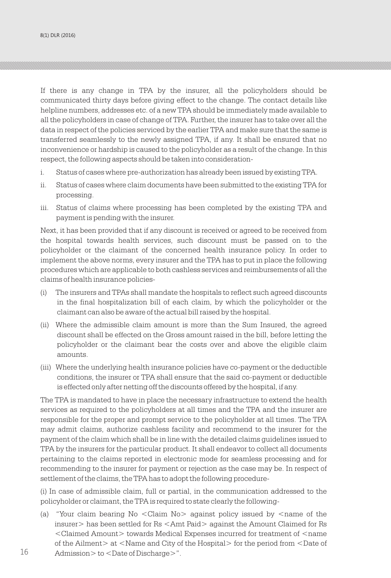If there is any change in TPA by the insurer, all the policyholders should be communicated thirty days before giving effect to the change. The contact details like helpline numbers, addresses etc. of a new TPA should be immediately made available to all the policyholders in case of change of TPA. Further, the insurer has to take over all the data in respect of the policies serviced by the earlier TPA and make sure that the same is transferred seamlessly to the newly assigned TPA, if any. It shall be ensured that no inconvenience or hardship is caused to the policyholder as a result of the change. In this respect, the following aspects should be taken into consideration-

- i. Status of cases where pre-authorization has already been issued by existing TPA.
- ii. Status of cases where claim documents have been submitted to the existing TPA for processing.
- iii. Status of claims where processing has been completed by the existing TPA and payment is pending with the insurer.

Next, it has been provided that if any discount is received or agreed to be received from the hospital towards health services, such discount must be passed on to the policyholder or the claimant of the concerned health insurance policy. In order to implement the above norms, every insurer and the TPA has to put in place the following procedures which are applicable to both cashless services and reimbursements of all the claims of health insurance policies-

- (i) The insurers and TPAs shall mandate the hospitals to reflect such agreed discounts in the final hospitalization bill of each claim, by which the policyholder or the claimant can also be aware of the actual bill raised by the hospital.
- (ii) Where the admissible claim amount is more than the Sum Insured, the agreed discount shall be effected on the Gross amount raised in the bill, before letting the policyholder or the claimant bear the costs over and above the eligible claim amounts.
- (iii) Where the underlying health insurance policies have co-payment or the deductible conditions, the insurer or TPA shall ensure that the said co-payment or deductible is effected only after netting off the discounts offered by the hospital, if any.

The TPA is mandated to have in place the necessary infrastructure to extend the health services as required to the policyholders at all times and the TPA and the insurer are responsible for the proper and prompt service to the policyholder at all times. The TPA may admit claims, authorize cashless facility and recommend to the insurer for the payment of the claim which shall be in line with the detailed claims guidelines issued to TPA by the insurers for the particular product. It shall endeavor to collect all documents pertaining to the claims reported in electronic mode for seamless processing and for recommending to the insurer for payment or rejection as the case may be. In respect of settlement of the claims, the TPA has to adopt the following procedure-

(i) In case of admissible claim, full or partial, in the communication addressed to the policyholder or claimant, the TPA is required to state clearly the following-

(a) "Your claim bearing No <Claim No> against policy issued by <name of the insurer> has been settled for Rs <Amt Paid> against the Amount Claimed for Rs <Claimed Amount> towards Medical Expenses incurred for treatment of <name of the Ailment> at <Name and City of the Hospital> for the period from <Date of 16 Admission > to <Date of Discharge >".